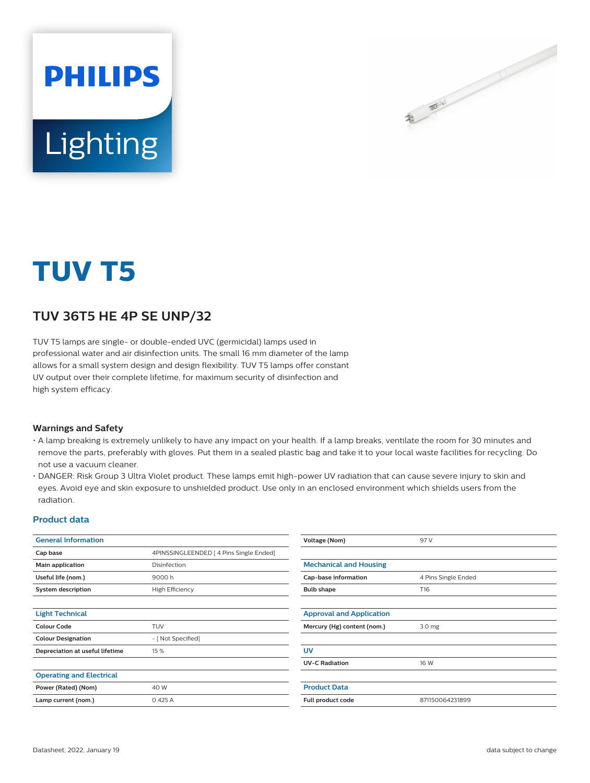

# Lighting

**PHILIPS** 

## **TUV T5**

### **TUV 36T5 HE 4P SE UNP/32**

TUV T5 lamps are single- or double-ended UVC (germicidal) lamps used in professional water and air disinfection units. The small 16 mm diameter of the lamp allows for a small system design and design flexibility. TUV T5 lamps offer constant UV output over their complete lifetime, for maximum security of disinfection and high system efficacy.

#### **Warnings and Safety**

- A lamp breaking is extremely unlikely to have any impact on your health. If a lamp breaks, ventilate the room for 30 minutes and remove the parts, preferably with gloves. Put them in a sealed plastic bag and take it to your local waste facilities for recycling. Do not use a vacuum cleaner.
- DANGER: Risk Group 3 Ultra Violet product. These lamps emit high-power UV radiation that can cause severe injury to skin and eyes. Avoid eye and skin exposure to unshielded product. Use only in an enclosed environment which shields users from the radiation.

#### **Product data**

| <b>General Information</b>      |                                         | Voltage (Nom)                   | 97 V                |
|---------------------------------|-----------------------------------------|---------------------------------|---------------------|
| Cap base                        | 4PINSSINGLEENDED   4 Pins Single Ended] |                                 |                     |
| Main application                | Disinfection                            | <b>Mechanical and Housing</b>   |                     |
| Useful life (nom.)              | 9000 h                                  | Cap-base information            | 4 Pins Single Ended |
| <b>System description</b>       | <b>High Efficiency</b>                  | <b>Bulb shape</b>               | T16                 |
|                                 |                                         |                                 |                     |
| <b>Light Technical</b>          |                                         | <b>Approval and Application</b> |                     |
| <b>Colour Code</b>              | <b>TUV</b>                              | Mercury (Hg) content (nom.)     | 3.0 <sub>mg</sub>   |
| <b>Colour Designation</b>       | - [ Not Specified]                      |                                 |                     |
| Depreciation at useful lifetime | 15 %                                    | <b>UV</b>                       |                     |
|                                 |                                         | <b>UV-C Radiation</b>           | 16 W                |
| <b>Operating and Electrical</b> |                                         |                                 |                     |
| Power (Rated) (Nom)             | 40 W                                    | <b>Product Data</b>             |                     |
| Lamp current (nom.)             | 0.425A                                  | Full product code               | 871150064231899     |
|                                 |                                         |                                 |                     |